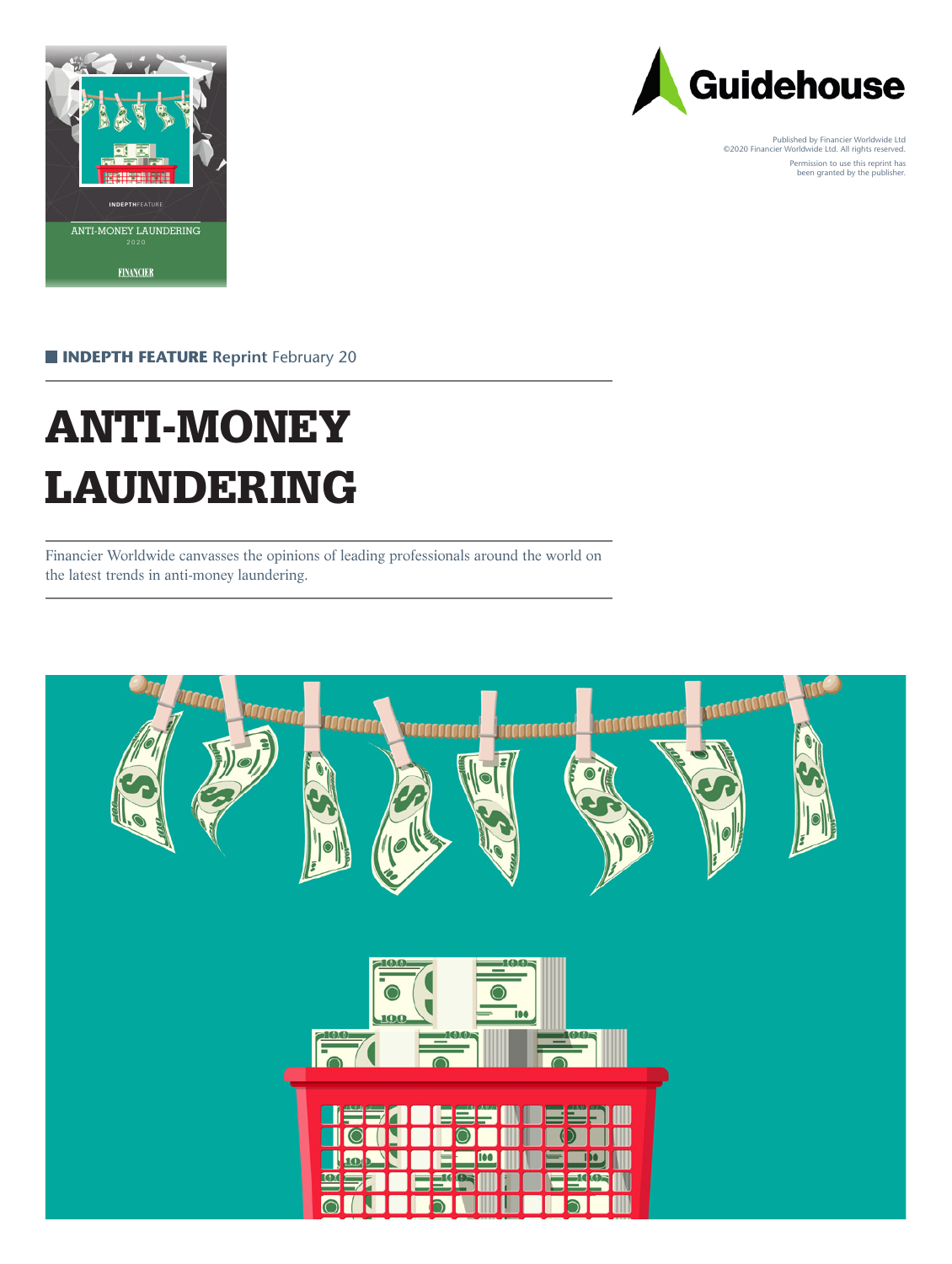



Published by Financier Worldwide Ltd ©2020 Financier Worldwide Ltd. All rights reserved. Permission to use this reprint has been granted by the publisher.

**INDEPTH FEATURE** Reprint February 20

# ANTI-MONEY LAUNDERING

Financier Worldwide canvasses the opinions of leading professionals around the world on the latest trends in anti-money laundering.

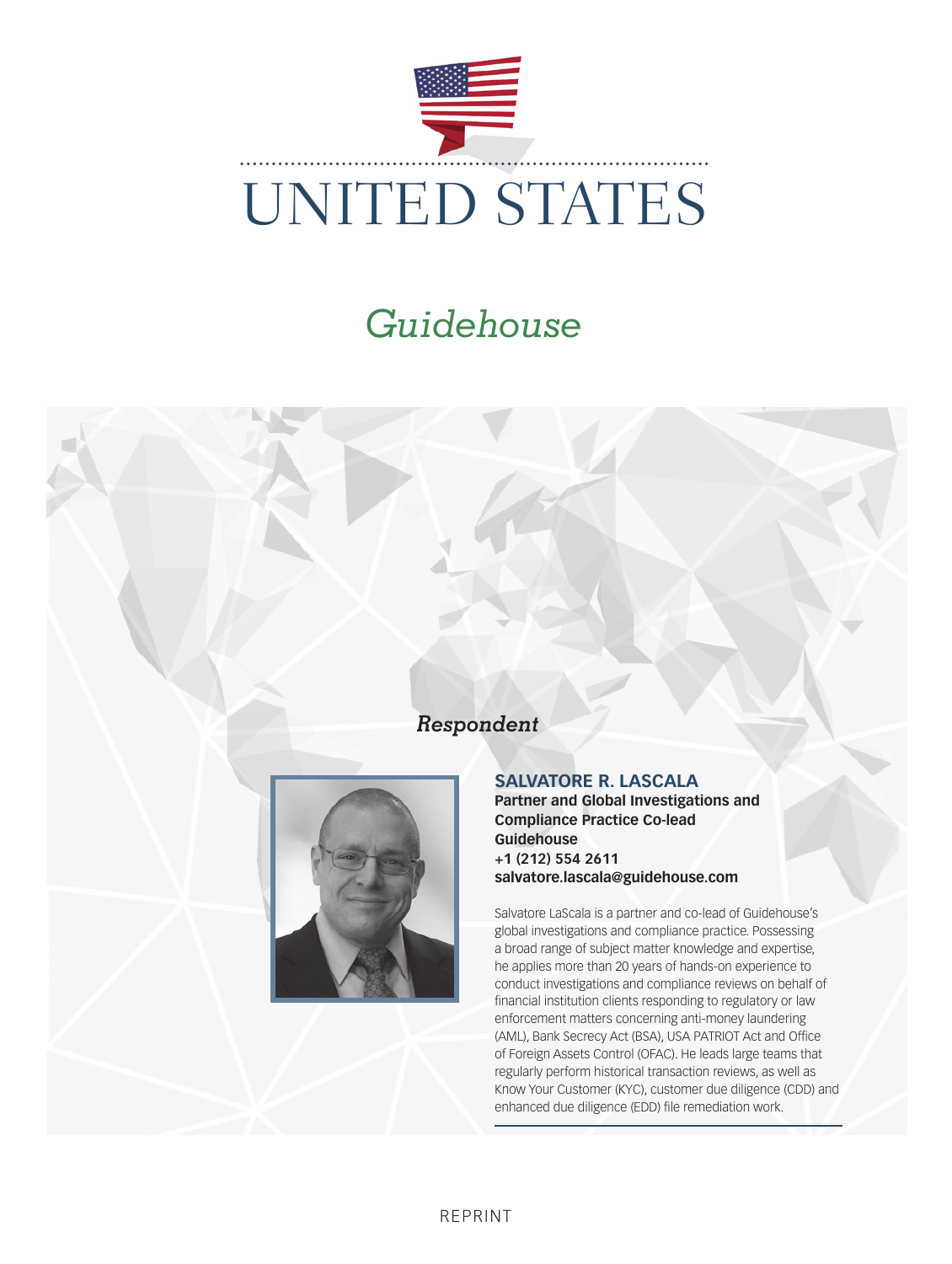

#### *Respondent*



#### **SALVATORE R. LASCALA**

**Partner and Global Investigations and Compliance Practice Co-lead Guidehouse +1 (212) 554 2611 salvatore.lascala@guidehouse.com**

Salvatore LaScala is a partner and co-lead of Guidehouse's global investigations and compliance practice. Possessing a broad range of subject matter knowledge and expertise, he applies more than 20 years of hands-on experience to conduct investigations and compliance reviews on behalf of financial institution clients responding to regulatory or law enforcement matters concerning anti-money laundering (AML), Bank Secrecy Act (BSA), USA PATRIOT Act and Office of Foreign Assets Control (OFAC). He leads large teams that regularly perform historical transaction reviews, as well as Know Your Customer (KYC), customer due diligence (CDD) and enhanced due diligence (EDD) file remediation work.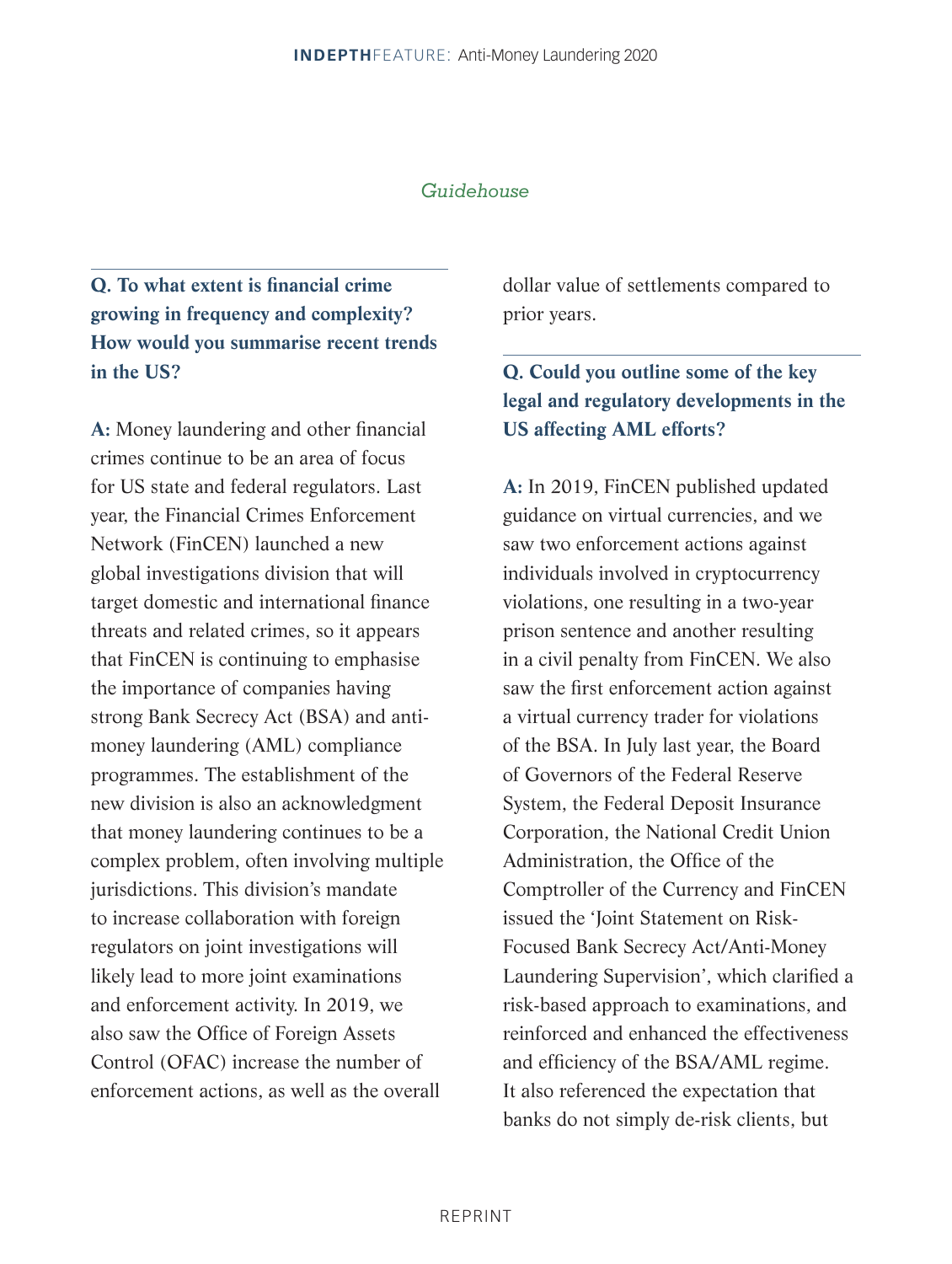### **Q. To what extent is financial crime growing in frequency and complexity? How would you summarise recent trends in the US?**

**A:** Money laundering and other financial crimes continue to be an area of focus for US state and federal regulators. Last year, the Financial Crimes Enforcement Network (FinCEN) launched a new global investigations division that will target domestic and international finance threats and related crimes, so it appears that FinCEN is continuing to emphasise the importance of companies having strong Bank Secrecy Act (BSA) and antimoney laundering (AML) compliance programmes. The establishment of the new division is also an acknowledgment that money laundering continues to be a complex problem, often involving multiple jurisdictions. This division's mandate to increase collaboration with foreign regulators on joint investigations will likely lead to more joint examinations and enforcement activity. In 2019, we also saw the Office of Foreign Assets Control (OFAC) increase the number of enforcement actions, as well as the overall

dollar value of settlements compared to prior years.

#### **Q. Could you outline some of the key legal and regulatory developments in the US affecting AML efforts?**

**A:** In 2019, FinCEN published updated guidance on virtual currencies, and we saw two enforcement actions against individuals involved in cryptocurrency violations, one resulting in a two-year prison sentence and another resulting in a civil penalty from FinCEN. We also saw the first enforcement action against a virtual currency trader for violations of the BSA. In July last year, the Board of Governors of the Federal Reserve System, the Federal Deposit Insurance Corporation, the National Credit Union Administration, the Office of the Comptroller of the Currency and FinCEN issued the 'Joint Statement on Risk-Focused Bank Secrecy Act/Anti-Money Laundering Supervision', which clarified a risk-based approach to examinations, and reinforced and enhanced the effectiveness and efficiency of the BSA/AML regime. It also referenced the expectation that banks do not simply de-risk clients, but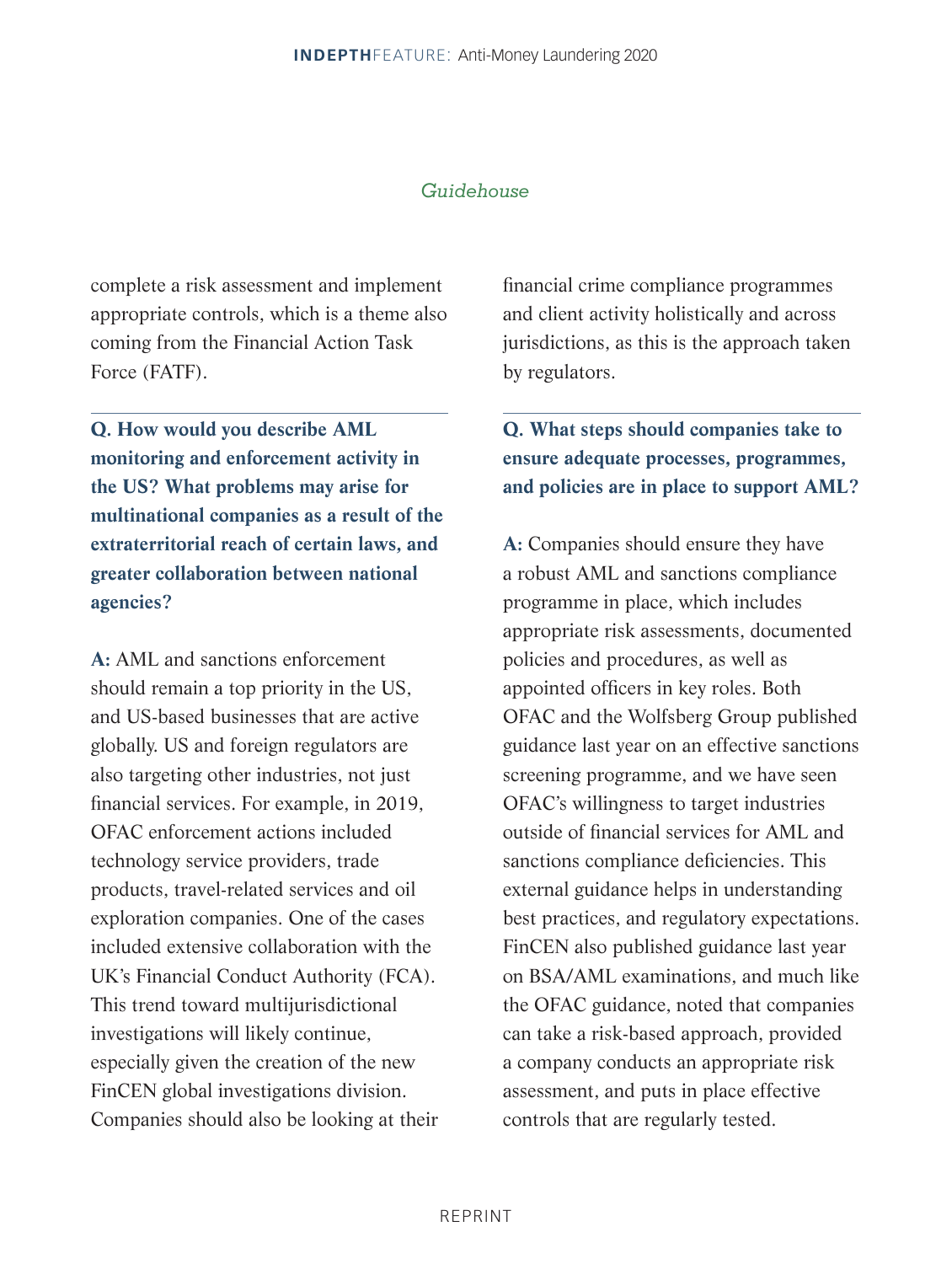complete a risk assessment and implement appropriate controls, which is a theme also coming from the Financial Action Task Force (FATF).

**Q. How would you describe AML monitoring and enforcement activity in the US? What problems may arise for multinational companies as a result of the extraterritorial reach of certain laws, and greater collaboration between national agencies?**

**A:** AML and sanctions enforcement should remain a top priority in the US, and US-based businesses that are active globally. US and foreign regulators are also targeting other industries, not just financial services. For example, in 2019, OFAC enforcement actions included technology service providers, trade products, travel-related services and oil exploration companies. One of the cases included extensive collaboration with the UK's Financial Conduct Authority (FCA). This trend toward multijurisdictional investigations will likely continue, especially given the creation of the new FinCEN global investigations division. Companies should also be looking at their

financial crime compliance programmes and client activity holistically and across jurisdictions, as this is the approach taken by regulators.

#### **Q. What steps should companies take to ensure adequate processes, programmes, and policies are in place to support AML?**

**A:** Companies should ensure they have a robust AML and sanctions compliance programme in place, which includes appropriate risk assessments, documented policies and procedures, as well as appointed officers in key roles. Both OFAC and the Wolfsberg Group published guidance last year on an effective sanctions screening programme, and we have seen OFAC's willingness to target industries outside of financial services for AML and sanctions compliance deficiencies. This external guidance helps in understanding best practices, and regulatory expectations. FinCEN also published guidance last year on BSA/AML examinations, and much like the OFAC guidance, noted that companies can take a risk-based approach, provided a company conducts an appropriate risk assessment, and puts in place effective controls that are regularly tested.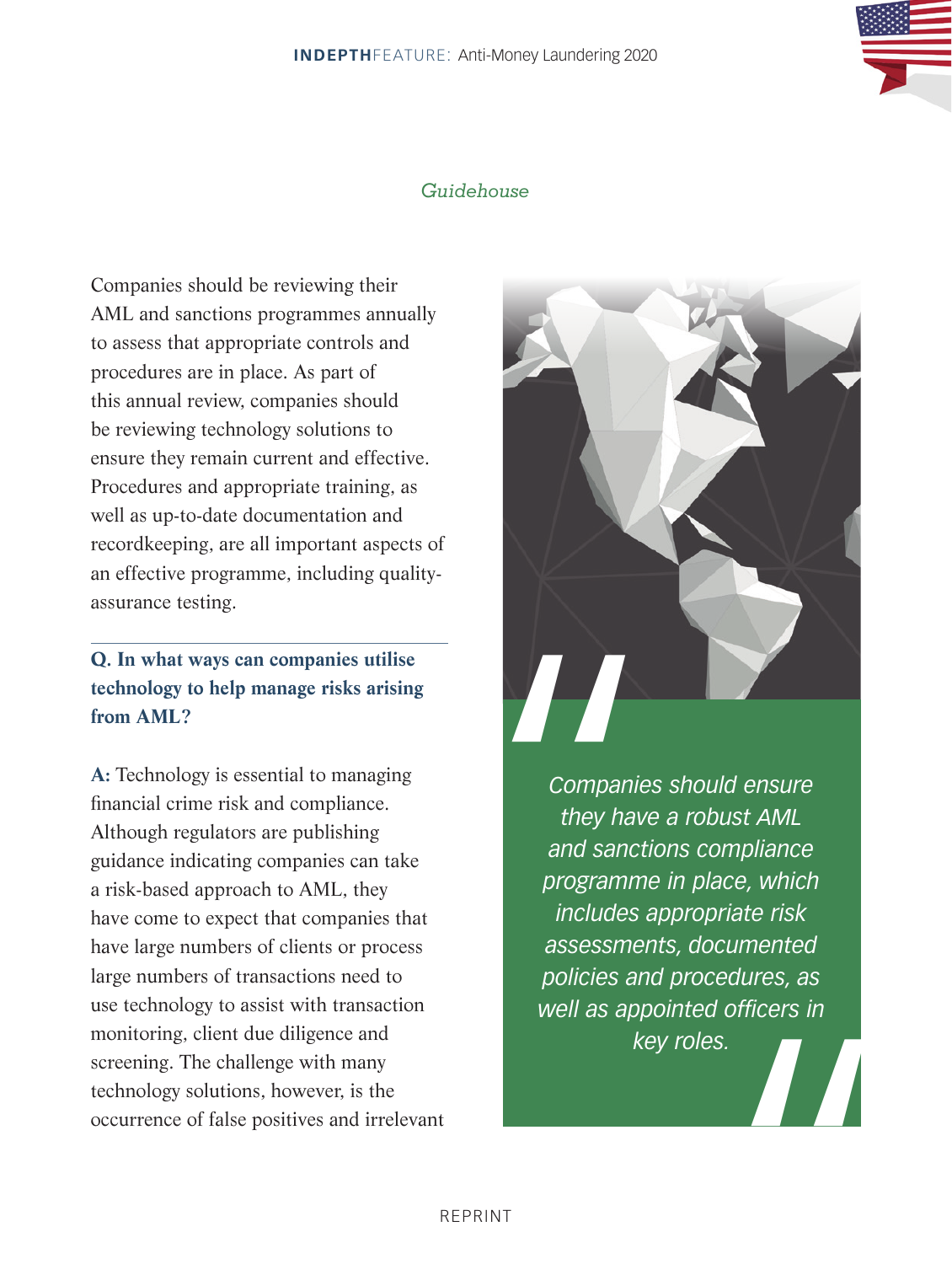Companies should be reviewing their AML and sanctions programmes annually to assess that appropriate controls and procedures are in place. As part of this annual review, companies should be reviewing technology solutions to ensure they remain current and effective. Procedures and appropriate training, as well as up-to-date documentation and recordkeeping, are all important aspects of an effective programme, including qualityassurance testing.

### **Q. In what ways can companies utilise technology to help manage risks arising from AML?**

**A:** Technology is essential to managing financial crime risk and compliance. Although regulators are publishing guidance indicating companies can take a risk-based approach to AML, they have come to expect that companies that have large numbers of clients or process large numbers of transactions need to use technology to assist with transaction monitoring, client due diligence and screening. The challenge with many technology solutions, however, is the occurrence of false positives and irrelevant



Companie<br>
they hav<br>
and sanct<br>
programm<br>
includes<br>
assessme<br>
policies an<br>
well as app <u>М</u> *Companies should ensure they have a robust AML and sanctions compliance programme in place, which includes appropriate risk assessments, documented policies and procedures, as well as appointed officers in key roles.*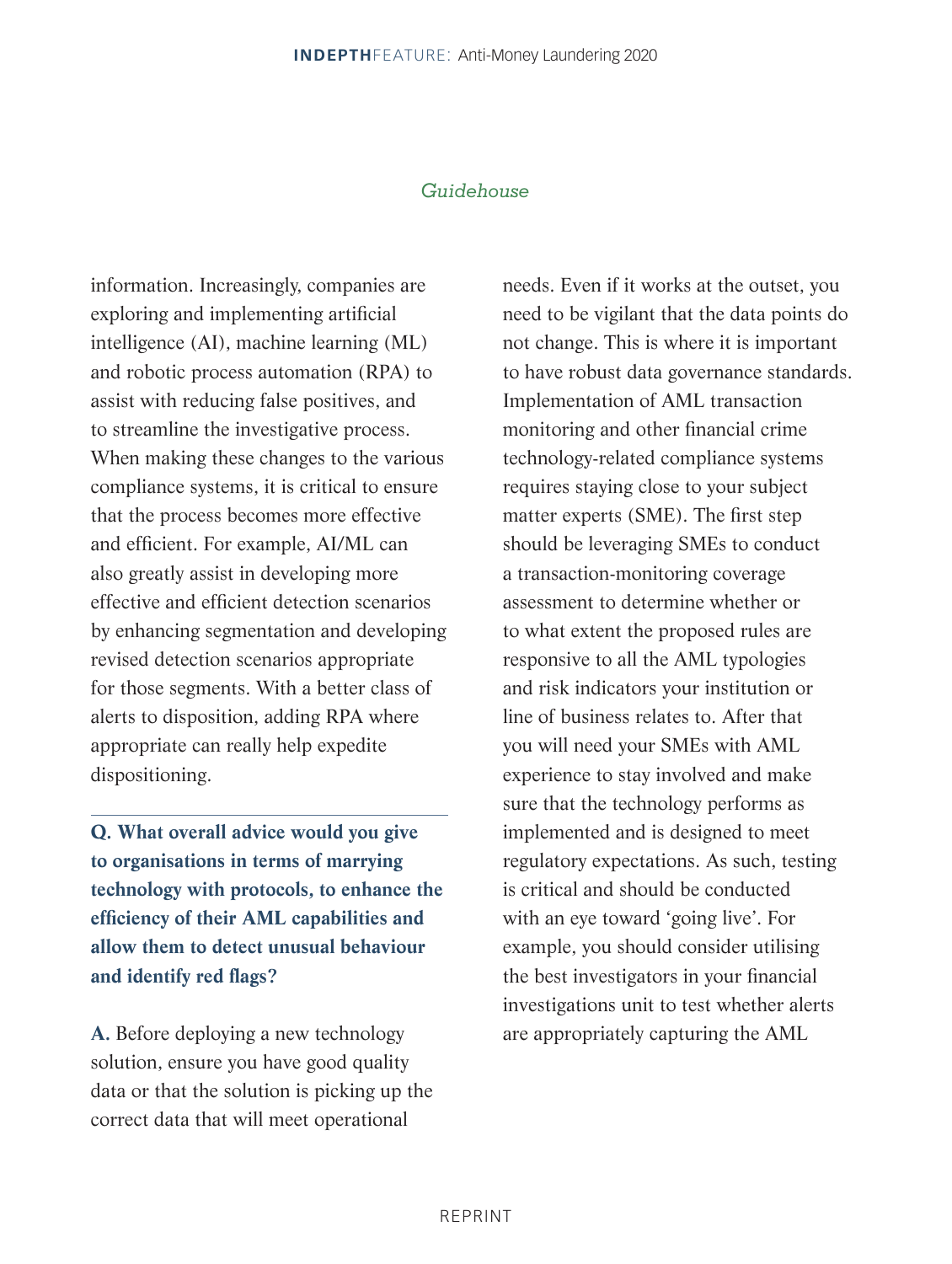information. Increasingly, companies are exploring and implementing artificial intelligence (AI), machine learning (ML) and robotic process automation (RPA) to assist with reducing false positives, and to streamline the investigative process. When making these changes to the various compliance systems, it is critical to ensure that the process becomes more effective and efficient. For example, AI/ML can also greatly assist in developing more effective and efficient detection scenarios by enhancing segmentation and developing revised detection scenarios appropriate for those segments. With a better class of alerts to disposition, adding RPA where appropriate can really help expedite dispositioning.

**Q. What overall advice would you give to organisations in terms of marrying technology with protocols, to enhance the efficiency of their AML capabilities and allow them to detect unusual behaviour and identify red flags?**

**A.** Before deploying a new technology solution, ensure you have good quality data or that the solution is picking up the correct data that will meet operational

needs. Even if it works at the outset, you need to be vigilant that the data points do not change. This is where it is important to have robust data governance standards. Implementation of AML transaction monitoring and other financial crime technology-related compliance systems requires staying close to your subject matter experts (SME). The first step should be leveraging SMEs to conduct a transaction-monitoring coverage assessment to determine whether or to what extent the proposed rules are responsive to all the AML typologies and risk indicators your institution or line of business relates to. After that you will need your SMEs with AML experience to stay involved and make sure that the technology performs as implemented and is designed to meet regulatory expectations. As such, testing is critical and should be conducted with an eye toward 'going live'. For example, you should consider utilising the best investigators in your financial investigations unit to test whether alerts are appropriately capturing the AML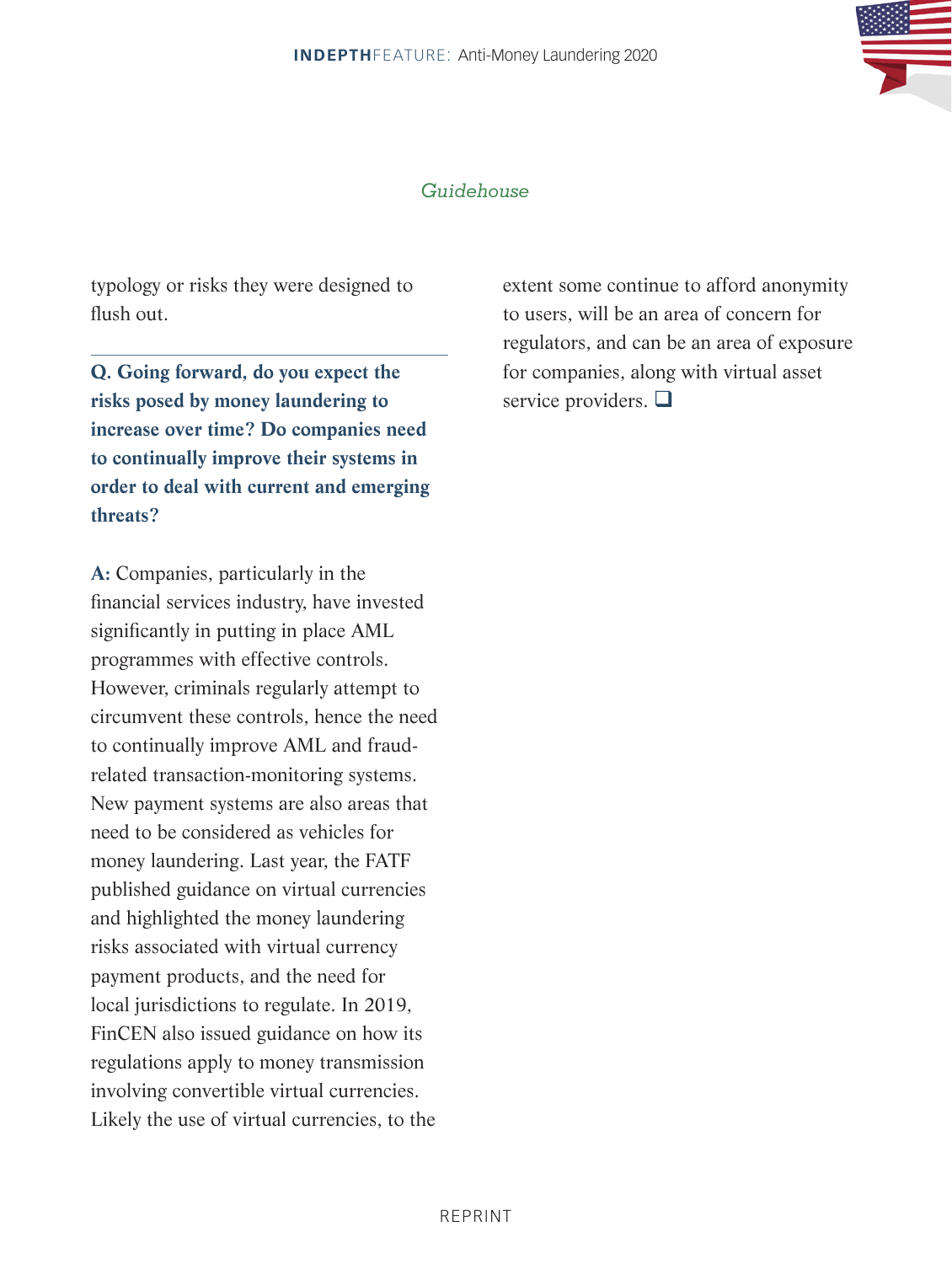

typology or risks they were designed to flush out.

**Q. Going forward, do you expect the risks posed by money laundering to increase over time? Do companies need to continually improve their systems in order to deal with current and emerging threats?**

**A:** Companies, particularly in the financial services industry, have invested significantly in putting in place AML programmes with effective controls. However, criminals regularly attempt to circumvent these controls, hence the need to continually improve AML and fraudrelated transaction-monitoring systems. New payment systems are also areas that need to be considered as vehicles for money laundering. Last year, the FATF published guidance on virtual currencies and highlighted the money laundering risks associated with virtual currency payment products, and the need for local jurisdictions to regulate. In 2019, FinCEN also issued guidance on how its regulations apply to money transmission involving convertible virtual currencies. Likely the use of virtual currencies, to the

extent some continue to afford anonymity to users, will be an area of concern for regulators, and can be an area of exposure for companies, along with virtual asset service providers.  $\Box$